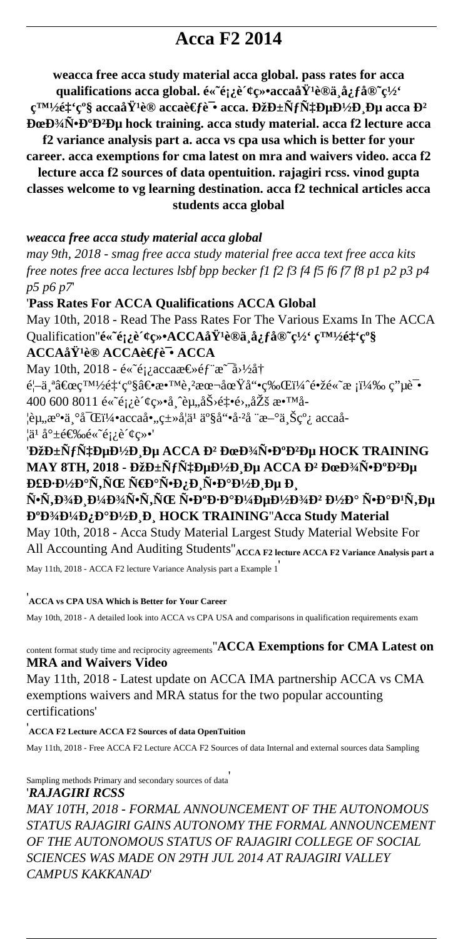# **Acca F2 2014**

**weacca free acca study material acca global. pass rates for acca** qualifications acca global.  $\acute{\text{e}} \ll \acute{\text{e}}$ <sub>i</sub> $\grave{\text{e}} \ll \acute{\text{e}} \ll \acute{\text{e}}$ <sup>2</sup> $\approx$ °accaå $\acute{\text{Y}}$ <sup>1</sup>è®ä¸å¿ $\acute{\text{f}}$ å®~ç½°

 $\mathbf{c}^{\text{TM}}\mathbf{A}\hat{\mathbf{z}}^{\text{TM}}\hat{\mathbf{z}}^{\text{CM}}\hat{\mathbf{z}}^{\text{CM}}$ à acca $\mathbf{\hat{H}}^{\text{TM}}\hat{\mathbf{z}}^{\text{CM}}\hat{\mathbf{z}}^{\text{CM}}$ **acca**  $\mathbf{D}^2$ **Homora**<sup>3</sup>/<sub>A</sub><sup>6</sup>**D**<sup>3</sup>/<sub>A</sub><sup>6</sup>**P**<sup>3</sup>/<sub>A</sub><sup>6</sup>**P**<sup>2</sup>**D**<sub>4</sub>**D**<sub>4</sub><sup>b</sup><sub>1</sub>**D**<sub>1</sub><sup>a</sup>**n**<sub>6</sub><sup>*a*</sup>**n**<sub>5</sub>*a*<sub>**n**<sub>1</sub><sup>a</sup><sub>1</sub><sup>a</sup><sub>1</sub><sup>*a*</sup><sub>1</sub><sup>*a*</sup><sub>1</sub><sup>*a*</sup><sub>1</sub><sup>*a*</sup><sub>1</sub><sup>*a*</sup><sub>1</sub><sup>*a*</sup><sub>1</sub><sup>*a*</sup><sub>1</sub><sup>*a*</sup><sub>1</sub><sup>*a*</sup><sub>1</sub><sup>*a*</sup><sub>1</sub><sup>*a*</sup><sub>1</sub><sup>*a*</sup><sub>1</sub><sup>*a*</sup><sub>1</sub><sup>*</sub></sup>* 

**f2 variance analysis part a. acca vs cpa usa which is better for your career. acca exemptions for cma latest on mra and waivers video. acca f2 lecture acca f2 sources of data opentuition. rajagiri rcss. vinod gupta**

**classes welcome to vg learning destination. acca f2 technical articles acca students acca global**

#### *weacca free acca study material acca global*

*may 9th, 2018 - smag free acca study material free acca text free acca kits free notes free acca lectures lsbf bpp becker f1 f2 f3 f4 f5 f6 f7 f8 p1 p2 p3 p4 p5 p6 p7*'

#### '**Pass Rates For ACCA Qualifications ACCA Global**

May 10th, 2018 - Read The Pass Rates For The Various Exams In The ACCA Qualification"**é«~é;¿è**<g>**\*ACCAåŸ<sup>1</sup>è®ä¸å¿få®~ç½** 白é‡<sup>*'*</sup>ç°§ **ACCAåŸ<sup>1</sup>è® ACCAè€fè<sup>-</sup>• ACCA** 

May 10th, 2018 -  $e^{\alpha}e^{\alpha}$ <sub>i</sub> acca $e \in \mathcal{E}$   $\neq$   $f^*$  $e^{-\alpha}$  $\lambda$ <sup>1</sup>/2 $\alpha$ <sup>+</sup>

首个"白é‡'级―教è'²æœ¬åœŸå"•ç‰Œï¼ˆé•žé«˜æ ¡ï¼‰ 电试 400 600 8011  $\acute{\text{e}}\times\acute{\text{e}}\text{I}$   $\acute{\text{e}}\times\acute{\text{e}}\times\acute{\text{e}}$   $\ddot{\text{e}}\times\acute{\text{e}}\times\acute{\text{e}}\times\acute{\text{e}}\times\acute{\text{e}}\times\acute{\text{e}}\times\acute{\text{e}}\times\acute{\text{e}}\times\acute{\text{e}}\times\acute{\text{e}}\times\acute{\text{e}}\times\acute{\text{e}}\times\acute{\text{e}}\times\acute{\text{e}}\times\acute{\text{e}}\times\acute{\text{e}}\times\acute{\text{e}}\times\$ 

¦èµ"溕丰富5accaå•"ç±»å¦ä¹ 产å"•å·²å ¨æ–°ä¸Šçº¿ accaå-  $|\ddot{a}^{\circ} \dot{a}^{\circ} \dot{=} \dot{\epsilon} \mathcal{L}\%$   $\ddot{e} \ddot{e} \ddot{e} \ddot{e} \ddot{e} \ddot{e} \ddot{e} \ddot{e} \ddot{e} \ddot{e} \ddot{e} \ddot{e} \ddot{e} \ddot{e} \ddot{e} \ddot{e} \ddot{e} \ddot{e} \ddot{e} \ddot{e} \ddot{e} \ddot{e} \ddot{e} \ddot{e} \ddot{e} \ddot{e} \ddot{e} \ddot{e} \ddot{e} \ddot{e} \dd$ 

## '**ĐžĐ**±NfчĐμĐ½Đ Đμ ACCA Đ<sup>2</sup> ĐœĐ¾Ň•Đ°Đ<sup>2</sup>Đμ HOCK TRAINING **MAY 8TH, 2018 - ОбÑfчеĐ½Đ Đµ ACCA Đ<sup>2</sup> ĐœĐ¾Ñ•Đ°Đ<sup>2</sup>е УÐ∙наÑ,ÑŒ раѕпиѕамие и**

Ñ•Ñ,оÐ Đ¼Ð¾Ñ•Ñ,ÑŒ ѕкзкменов Đ¼Ð° ѕаÐ<sup></sup>·Ñ,е **D**<sup>o</sup>**D**<sup>3</sup> $4$ **D**<sup>1</sup> $4$ **D**<sub>*i*</sub>**D**<sup>o</sup>**D**<sup>1</sup> $2$ **D**<sub>*i*</sub>**D**<sub>*i*</sub><sup> $\blacksquare$ **D**<sub>*i*</sub><sup> $\blacksquare$ **D**<sub>*i*</sub><sup> $\blacksquare$ **D**<sub>*i*</sub><sup> $\blacksquare$ **D**<sub>*i*</sub><sup> $\blacksquare$ </sub>**D**<sub>*i*</sub><sup> $\blacksquare$ **D**<sub>*i*</sub><sup> $\blacksquare$ **D**<sub>*i*</sub><sup> $\blacksquare$ **D**<sub>*i*</sub><sup> $\blacksquare$ **D**<sub>*i*</sub><sup> $\blacksquare$ **D**<sub>*i*</sub><sup> $\blacksquare$ **</sup></sup></sup></sup></sup></sup></sup></sup></sup></sup></sup>** May 10th, 2018 - Acca Study Material Largest Study Material Website For All Accounting And Auditing Students''**ACCA F2 lecture ACCA F2 Variance Analysis part a** May 11th, 2018 - ACCA F2 lecture Variance Analysis part a Example 1'

#### '**ACCA vs CPA USA Which is Better for Your Career**

May 10th, 2018 - A detailed look into ACCA vs CPA USA and comparisons in qualification requirements exam

### content format study time and reciprocity agreements''**ACCA Exemptions for CMA Latest on MRA and Waivers Video**

May 11th, 2018 - Latest update on ACCA IMA partnership ACCA vs CMA exemptions waivers and MRA status for the two popular accounting certifications'

'**ACCA F2 Lecture ACCA F2 Sources of data OpenTuition** May 11th, 2018 - Free ACCA F2 Lecture ACCA F2 Sources of data Internal and external sources data Sampling

Sampling methods Primary and secondary sources of data'

#### '*RAJAGIRI RCSS*

*MAY 10TH, 2018 - FORMAL ANNOUNCEMENT OF THE AUTONOMOUS STATUS RAJAGIRI GAINS AUTONOMY THE FORMAL ANNOUNCEMENT OF THE AUTONOMOUS STATUS OF RAJAGIRI COLLEGE OF SOCIAL SCIENCES WAS MADE ON 29TH JUL 2014 AT RAJAGIRI VALLEY CAMPUS KAKKANAD*'